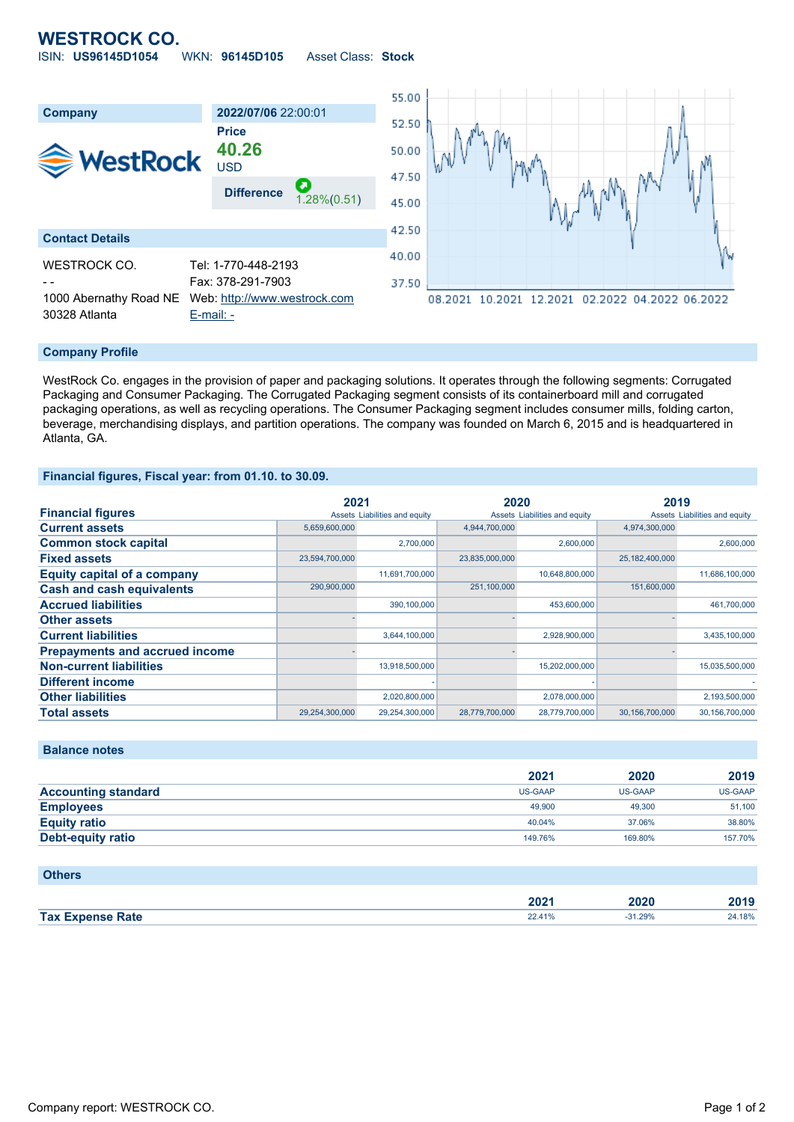# **WESTROCK CO.** ISIN: **US96145D1054** WKN: **96145D105** Asset Class: **Stock**



#### **Company Profile**

WestRock Co. engages in the provision of paper and packaging solutions. It operates through the following segments: Corrugated Packaging and Consumer Packaging. The Corrugated Packaging segment consists of its containerboard mill and corrugated packaging operations, as well as recycling operations. The Consumer Packaging segment includes consumer mills, folding carton, beverage, merchandising displays, and partition operations. The company was founded on March 6, 2015 and is headquartered in Atlanta, GA.

#### **Financial figures, Fiscal year: from 01.10. to 30.09.**

|                                       | 2021           |                               | 2020           |                               | 2019           |                               |
|---------------------------------------|----------------|-------------------------------|----------------|-------------------------------|----------------|-------------------------------|
| <b>Financial figures</b>              |                | Assets Liabilities and equity |                | Assets Liabilities and equity |                | Assets Liabilities and equity |
| <b>Current assets</b>                 | 5,659,600,000  |                               | 4.944.700.000  |                               | 4.974.300.000  |                               |
| <b>Common stock capital</b>           |                | 2,700,000                     |                | 2,600,000                     |                | 2,600,000                     |
| <b>Fixed assets</b>                   | 23,594,700,000 |                               | 23,835,000,000 |                               | 25,182,400,000 |                               |
| <b>Equity capital of a company</b>    |                | 11,691,700,000                |                | 10,648,800,000                |                | 11,686,100,000                |
| <b>Cash and cash equivalents</b>      | 290,900,000    |                               | 251,100,000    |                               | 151,600,000    |                               |
| <b>Accrued liabilities</b>            |                | 390,100,000                   |                | 453,600,000                   |                | 461,700,000                   |
| <b>Other assets</b>                   |                |                               |                |                               |                |                               |
| <b>Current liabilities</b>            |                | 3,644,100,000                 |                | 2,928,900,000                 |                | 3,435,100,000                 |
| <b>Prepayments and accrued income</b> |                |                               |                |                               |                |                               |
| <b>Non-current liabilities</b>        |                | 13,918,500,000                |                | 15,202,000,000                |                | 15,035,500,000                |
| <b>Different income</b>               |                |                               |                |                               |                |                               |
| <b>Other liabilities</b>              |                | 2,020,800,000                 |                | 2,078,000,000                 |                | 2,193,500,000                 |
| <b>Total assets</b>                   | 29,254,300,000 | 29,254,300,000                | 28.779.700.000 | 28,779,700,000                | 30.156.700.000 | 30,156,700,000                |

## **Balance notes**

|                            | 2021           | 2020           | 2019    |
|----------------------------|----------------|----------------|---------|
| <b>Accounting standard</b> | <b>US-GAAP</b> | <b>US-GAAP</b> | US-GAAP |
| <b>Employees</b>           | 49,900         | 49,300         | 51,100  |
| <b>Equity ratio</b>        | 40.04%         | 37.06%         | 38.80%  |
| Debt-equity ratio          | 149.76%        | 169.80%        | 157.70% |

#### **Others**

|                         | ה ה<br>ZUZ ' | 2020 | 2019 |
|-------------------------|--------------|------|------|
| <b>Tax Expense Rate</b> | 170          | 29%  | 18%  |